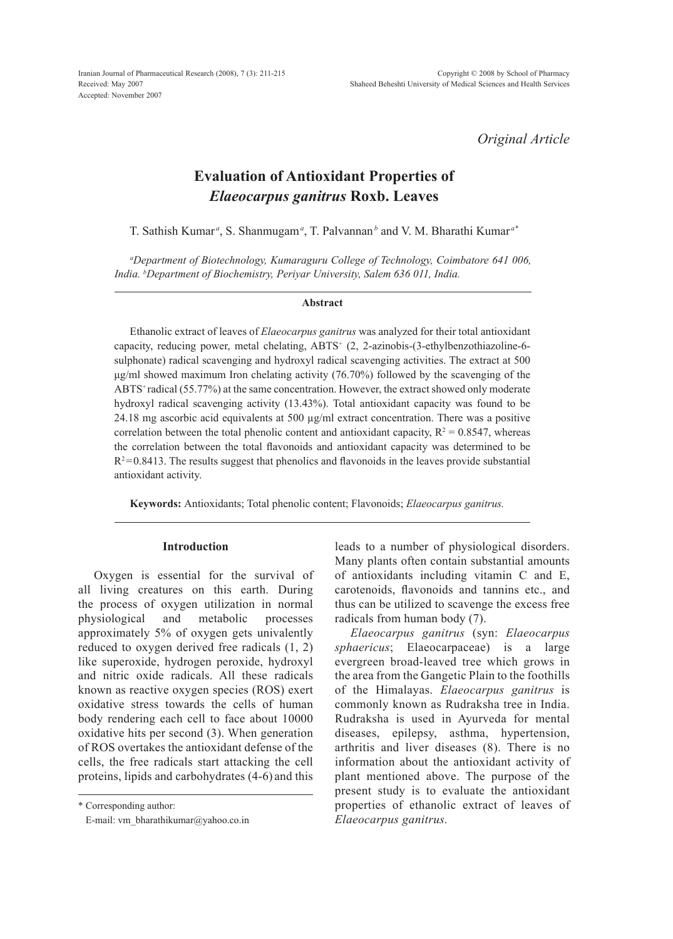Iranian Journal of Pharmaceutical Research (2008), 7 (3): 211-215 Received: May 2007 Accepted: November 2007

*Original Article*

# **Evaluation of Antioxidant Properties of**  *Elaeocarpus ganitrus* **Roxb. Leaves**

T. Sathish Kumar<sup>*a*</sup>, S. Shanmugam<sup>*a*</sup>, T. Palvannan<sup>*b*</sup> and V. M. Bharathi Kumar<sup>*a*\*</sup>

*a Department of Biotechnology, Kumaraguru College of Technology, Coimbatore 641 006, India. b Department of Biochemistry, Periyar University, Salem 636 011, India.*

#### **Abstract**

Ethanolic extract of leaves of *Elaeocarpus ganitrus* was analyzed for their total antioxidant capacity, reducing power, metal chelating, ABTS<sup>+</sup> (2, 2-azinobis-(3-ethylbenzothiazoline-6sulphonate) radical scavenging and hydroxyl radical scavenging activities. The extract at 500 μg/ml showed maximum Iron chelating activity (76.70%) followed by the scavenging of the ABTS<sup>+</sup> radical (55.77%) at the same concentration. However, the extract showed only moderate hydroxyl radical scavenging activity (13.43%). Total antioxidant capacity was found to be 24.18 mg ascorbic acid equivalents at 500 µg/ml extract concentration. There was a positive correlation between the total phenolic content and antioxidant capacity,  $R^2 = 0.8547$ , whereas the correlation between the total flavonoids and antioxidant capacity was determined to be  $R^2$ =0.8413. The results suggest that phenolics and flavonoids in the leaves provide substantial antioxidant activity.

**Keywords:** Antioxidants; Total phenolic content; Flavonoids; *Elaeocarpus ganitrus.*

#### **Introduction**

Oxygen is essential for the survival of all living creatures on this earth. During the process of oxygen utilization in normal physiological and metabolic processes approximately 5% of oxygen gets univalently reduced to oxygen derived free radicals (1, 2) like superoxide, hydrogen peroxide, hydroxyl and nitric oxide radicals. All these radicals known as reactive oxygen species (ROS) exert oxidative stress towards the cells of human body rendering each cell to face about 10000 oxidative hits per second (3). When generation of ROS overtakes the antioxidant defense of the cells, the free radicals start attacking the cell proteins, lipids and carbohydrates (4-6) and this

\* Corresponding author:

E-mail: vm\_bharathikumar@yahoo.co.in

leads to a number of physiological disorders. Many plants often contain substantial amounts of antioxidants including vitamin C and E, carotenoids, flavonoids and tannins etc., and thus can be utilized to scavenge the excess free radicals from human body (7).

*Elaeocarpus ganitrus* (syn: *Elaeocarpus sphaericus*; Elaeocarpaceae) is a large evergreen broad-leaved tree which grows in the area from the Gangetic Plain to the foothills of the Himalayas. *Elaeocarpus ganitrus* is commonly known as Rudraksha tree in India. Rudraksha is used in Ayurveda for mental diseases, epilepsy, asthma, hypertension, arthritis and liver diseases (8). There is no information about the antioxidant activity of plant mentioned above. The purpose of the present study is to evaluate the antioxidant properties of ethanolic extract of leaves of *Elaeocarpus ganitrus.*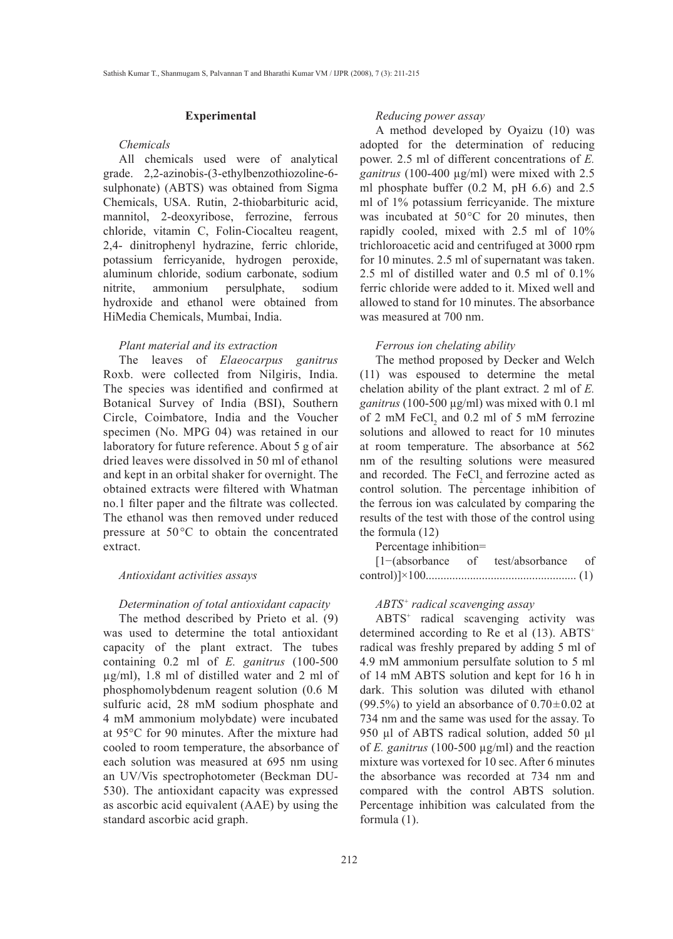# **Experimental**

# *Chemicals*

All chemicals used were of analytical grade. 2,2-azinobis-(3-ethylbenzothiozoline-6 sulphonate) (ABTS) was obtained from Sigma Chemicals, USA. Rutin, 2-thiobarbituric acid, mannitol, 2-deoxyribose, ferrozine, ferrous chloride, vitamin C, Folin-Ciocalteu reagent, 2,4- dinitrophenyl hydrazine, ferric chloride, potassium ferricyanide, hydrogen peroxide, aluminum chloride, sodium carbonate, sodium nitrite, ammonium persulphate, sodium hydroxide and ethanol were obtained from HiMedia Chemicals, Mumbai, India.

# *Plant material and its extraction*

The leaves of *Elaeocarpus ganitrus* Roxb. were collected from Nilgiris, India. The species was identified and confirmed at Botanical Survey of India (BSI), Southern Circle, Coimbatore, India and the Voucher specimen (No. MPG 04) was retained in our laboratory for future reference. About 5 g of air dried leaves were dissolved in 50 ml of ethanol and kept in an orbital shaker for overnight. The obtained extracts were filtered with Whatman no.1 filter paper and the filtrate was collected. The ethanol was then removed under reduced pressure at 50°C to obtain the concentrated extract.

#### *Antioxidant activities assays*

#### *Determination of total antioxidant capacity*

The method described by Prieto et al. (9) was used to determine the total antioxidant capacity of the plant extract. The tubes containing 0.2 ml of *E. ganitrus* (100-500 µg/ml), 1.8 ml of distilled water and 2 ml of phosphomolybdenum reagent solution (0.6 M sulfuric acid, 28 mM sodium phosphate and 4 mM ammonium molybdate) were incubated at 95°C for 90 minutes. After the mixture had cooled to room temperature, the absorbance of each solution was measured at 695 nm using an UV/Vis spectrophotometer (Beckman DU-530). The antioxidant capacity was expressed as ascorbic acid equivalent (AAE) by using the standard ascorbic acid graph.

# *Reducing power assay*

A method developed by Oyaizu (10) was adopted for the determination of reducing power. 2.5 ml of different concentrations of *E. ganitrus* (100-400 µg/ml) were mixed with 2.5 ml phosphate buffer (0.2 M, pH 6.6) and 2.5 ml of 1% potassium ferricyanide. The mixture was incubated at 50°C for 20 minutes, then rapidly cooled, mixed with 2.5 ml of 10% trichloroacetic acid and centrifuged at 3000 rpm for 10 minutes. 2.5 ml of supernatant was taken. 2.5 ml of distilled water and 0.5 ml of 0.1% ferric chloride were added to it. Mixed well and allowed to stand for 10 minutes. The absorbance was measured at 700 nm.

#### *Ferrous ion chelating ability*

The method proposed by Decker and Welch (11) was espoused to determine the metal chelation ability of the plant extract. 2 ml of *E. ganitrus* (100-500 µg/ml) was mixed with 0.1 ml of 2 mM  $FeCl<sub>2</sub>$  and 0.2 ml of 5 mM ferrozine solutions and allowed to react for 10 minutes at room temperature. The absorbance at 562 nm of the resulting solutions were measured and recorded. The FeCl<sub>2</sub> and ferrozine acted as control solution. The percentage inhibition of the ferrous ion was calculated by comparing the results of the test with those of the control using the formula (12)

Percentage inhibition=

| $[1-(\text{absorbane of}]$ | test/absorbance of |  |
|----------------------------|--------------------|--|
|                            |                    |  |

# *ABTS+ radical scavenging assay*

ABTS+ radical scavenging activity was determined according to Re et al  $(13)$ . ABTS<sup>+</sup> radical was freshly prepared by adding 5 ml of 4.9 mM ammonium persulfate solution to 5 ml of 14 mM ABTS solution and kept for 16 h in dark. This solution was diluted with ethanol (99.5%) to yield an absorbance of  $0.70 \pm 0.02$  at 734 nm and the same was used for the assay. To 950 µl of ABTS radical solution, added 50 µl of *E. ganitrus* (100-500 µg/ml) and the reaction mixture was vortexed for 10 sec. After 6 minutes the absorbance was recorded at 734 nm and compared with the control ABTS solution. Percentage inhibition was calculated from the formula (1).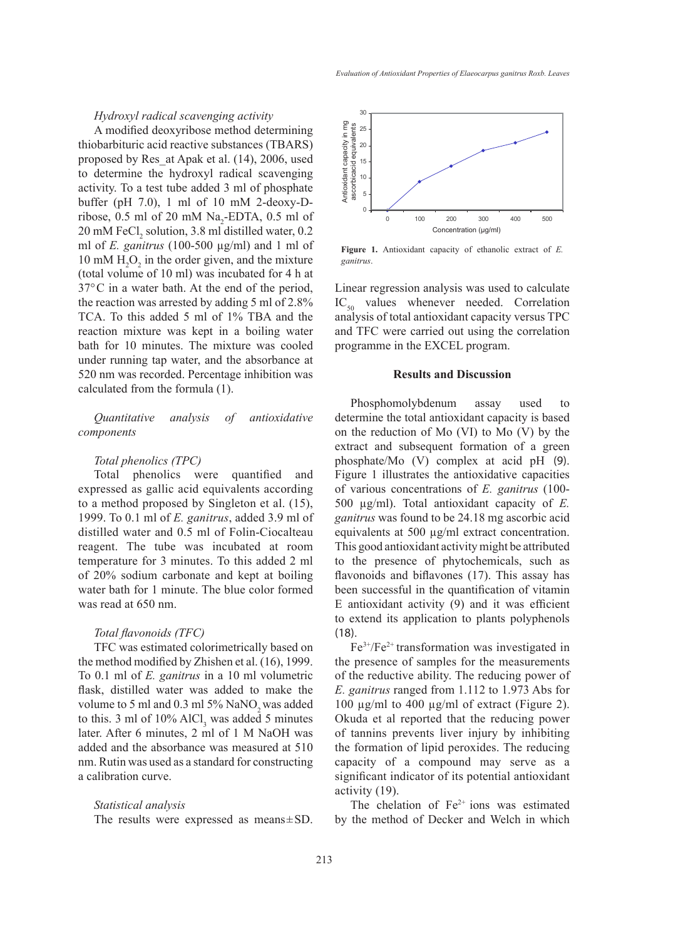# *Hydroxyl radical scavenging activity*

A modified deoxyribose method determining thiobarbituric acid reactive substances (TBARS) proposed by Res\_at Apak et al. (14), 2006, used to determine the hydroxyl radical scavenging activity. To a test tube added 3 ml of phosphate buffer (pH 7.0), 1 ml of 10 mM 2-deoxy-Dribose,  $0.5$  ml of  $20$  mM Na<sub>2</sub>-EDTA,  $0.5$  ml of  $20 \text{ mM FeCl}_2$  solution, 3.8 ml distilled water, 0.2 ml of *E. ganitrus* (100-500 µg/ml) and 1 ml of 10 mM  $H_2O_2$  in the order given, and the mixture (total volume of 10 ml) was incubated for 4 h at 37°C in a water bath. At the end of the period, the reaction was arrested by adding 5 ml of 2.8% TCA. To this added 5 ml of 1% TBA and the reaction mixture was kept in a boiling water bath for 10 minutes. The mixture was cooled under running tap water, and the absorbance at 520 nm was recorded. Percentage inhibition was calculated from the formula (1).

# *Quantitative analysis of antioxidative components*

# *Total phenolics (TPC)*

Total phenolics were quantified and expressed as gallic acid equivalents according to a method proposed by Singleton et al. (15), 1999. To 0.1 ml of *E. ganitrus*, added 3.9 ml of distilled water and 0.5 ml of Folin-Ciocalteau reagent. The tube was incubated at room temperature for 3 minutes. To this added 2 ml of 20% sodium carbonate and kept at boiling water bath for 1 minute. The blue color formed was read at 650 nm.

#### *Total flavonoids (TFC)*

TFC was estimated colorimetrically based on the method modified by Zhishen et al. (16), 1999. To 0.1 ml of *E. ganitrus* in a 10 ml volumetric flask, distilled water was added to make the volume to 5 ml and 0.3 ml 5% NaNO<sub>2</sub> was added to this. 3 ml of  $10\%$  AlCl<sub>3</sub> was added 5 minutes later. After 6 minutes, 2 ml of 1 M NaOH was added and the absorbance was measured at 510 nm. Rutin was used as a standard for constructing a calibration curve.

#### *Statistical analysis*

The results were expressed as means±SD.



**Figure 1.** Antioxidant capacity of ethanolic extract of *E. ganitrus*.

Linear regression analysis was used to calculate  $IC_{50}$  values whenever needed. Correlation analysis of total antioxidant capacity versus TPC and TFC were carried out using the correlation programme in the EXCEL program.

# **Results and Discussion**

Phosphomolybdenum assay used to determine the total antioxidant capacity is based on the reduction of Mo (VI) to Mo (V) by the extract and subsequent formation of a green phosphate/Mo (V) complex at acid pH (9). Figure 1 illustrates the antioxidative capacities of various concentrations of *E. ganitrus* (100- 500 µg/ml). Total antioxidant capacity of *E. ganitrus* was found to be 24.18 mg ascorbic acid equivalents at 500 µg/ml extract concentration. This good antioxidant activity might be attributed to the presence of phytochemicals, such as flavonoids and biflavones (17). This assay has been successful in the quantification of vitamin E antioxidant activity (9) and it was efficient to extend its application to plants polyphenols (18).

 $Fe<sup>3+</sup>/Fe<sup>2+</sup> transformation was investigated in$ the presence of samples for the measurements of the reductive ability. The reducing power of *E. ganitrus* ranged from 1.112 to 1.973 Abs for 100 µg/ml to 400 µg/ml of extract (Figure 2). Okuda et al reported that the reducing power of tannins prevents liver injury by inhibiting the formation of lipid peroxides. The reducing capacity of a compound may serve as a significant indicator of its potential antioxidant activity (19).

The chelation of  $Fe<sup>2+</sup>$  ions was estimated by the method of Decker and Welch in which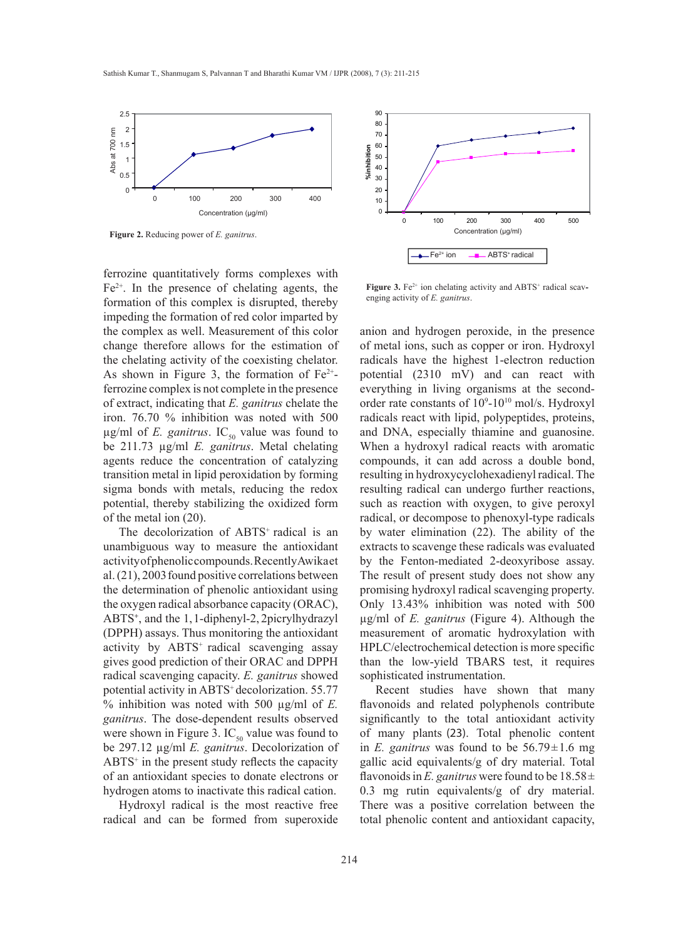

ferrozine quantitatively forms complexes with  $Fe<sup>2+</sup>$ . In the presence of chelating agents, the formation of this complex is disrupted, thereby impeding the formation of red color imparted by the complex as well. Measurement of this color change therefore allows for the estimation of the chelating activity of the coexisting chelator. As shown in Figure 3, the formation of  $Fe<sup>2+</sup>$ ferrozine complex is not complete in the presence of extract, indicating that *E. ganitrus* chelate the iron. 76.70 % inhibition was noted with 500  $\mu$ g/ml of *E. ganitrus*. IC<sub>50</sub> value was found to be 211.73 µg/ml *E. ganitrus*. Metal chelating agents reduce the concentration of catalyzing transition metal in lipid peroxidation by forming sigma bonds with metals, reducing the redox potential, thereby stabilizing the oxidized form of the metal ion (20).

The decolorization of ABTS<sup>+</sup> radical is an unambiguous way to measure the antioxidant activity of phenolic compounds. Recently Awika et al.  $(21)$ , 2003 found positive correlations between the determination of phenolic antioxidant using the oxygen radical absorbance capacity (ORAC), ABTS<sup>+</sup>, and the 1, 1-diphenyl-2, 2picrylhydrazyl (DPPH) assays. Thus monitoring the antioxidant activity by ABTS<sup>+</sup> radical scavenging assay gives good prediction of their ORAC and DPPH radical scavenging capacity. *E. ganitrus* showed potential activity in ABTS<sup>+</sup> decolorization. 55.77 % inhibition was noted with 500 µg/ml of *E. ganitrus*. The dose-dependent results observed were shown in Figure 3.  $IC_{50}$  value was found to be 297.12 µg/ml *E. ganitrus*. Decolorization of ABTS<sup>+</sup> in the present study reflects the capacity of an antioxidant species to donate electrons or hydrogen atoms to inactivate this radical cation.

Hydroxyl radical is the most reactive free radical and can be formed from superoxide



**Figure 3.** Fe<sup> $2+$ </sup> ion chelating activity and ABTS<sup>+</sup> radical scavenging activity of *E. ganitrus*.

anion and hydrogen peroxide, in the presence of metal ions, such as copper or iron. Hydroxyl radicals have the highest 1-electron reduction potential (2310 mV) and can react with everything in living organisms at the secondorder rate constants of  $10^9$ - $10^{10}$  mol/s. Hydroxyl radicals react with lipid, polypeptides, proteins, and DNA, especially thiamine and guanosine. When a hydroxyl radical reacts with aromatic compounds, it can add across a double bond, resulting in hydroxycyclohexadienyl radical. The resulting radical can undergo further reactions, such as reaction with oxygen, to give peroxyl radical, or decompose to phenoxyl-type radicals by water elimination (22). The ability of the extracts to scavenge these radicals was evaluated by the Fenton-mediated 2-deoxyribose assay. The result of present study does not show any promising hydroxyl radical scavenging property. Only 13.43% inhibition was noted with 500 µg/ml of *E. ganitrus* (Figure 4). Although the measurement of aromatic hydroxylation with HPLC/electrochemical detection is more specific than the low-yield TBARS test, it requires sophisticated instrumentation.

Recent studies have shown that many flavonoids and related polyphenols contribute significantly to the total antioxidant activity of many plants (23). Total phenolic content in *E. ganitrus* was found to be  $56.79 \pm 1.6$  mg gallic acid equivalents/g of dry material. Total flavonoids in *E. ganitrus* were found to be  $18.58 \pm$ 0.3 mg rutin equivalents/g of dry material. There was a positive correlation between the total phenolic content and antioxidant capacity,